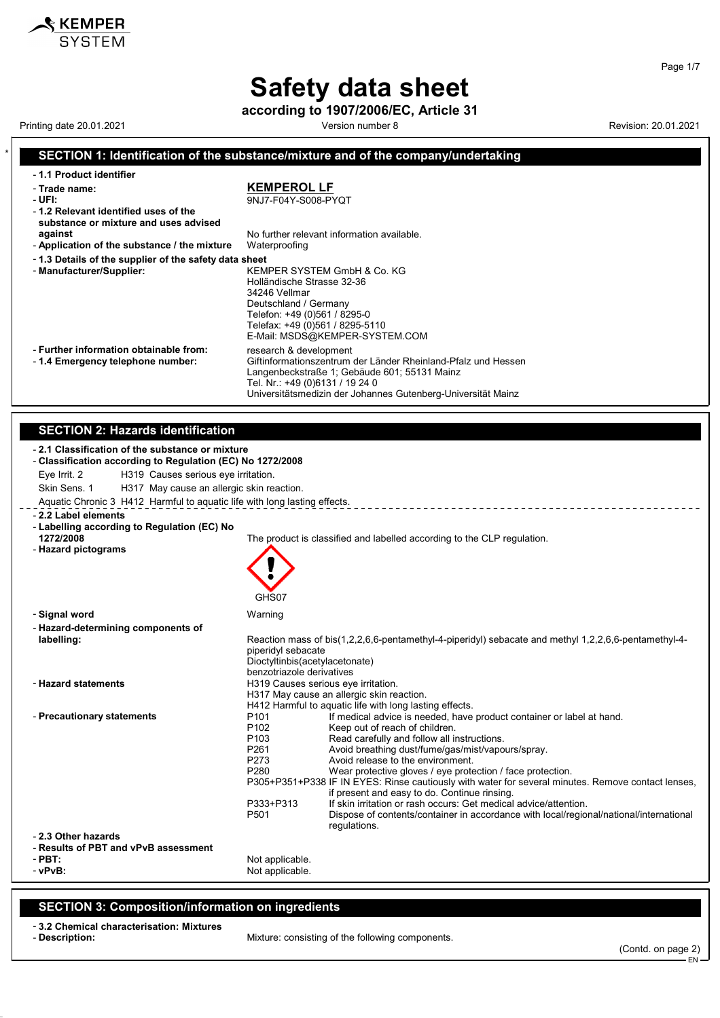**according to 1907/2006/EC, Article 31** Printing date 20.01.2021 **Version number 8** Version number 8 Revision: 20.01.2021

KEMPER **SYSTEM** 

Page 1/7

### \* **SECTION 1: Identification of the substance/mixture and of the company/undertaking**

| -1.1 Product identifier<br><b>KEMPEROL LF</b><br>- Trade name:<br>- UFI:<br>9NJ7-F04Y-S008-PYQT<br>-1.2 Relevant identified uses of the<br>substance or mixture and uses advised |
|----------------------------------------------------------------------------------------------------------------------------------------------------------------------------------|
|                                                                                                                                                                                  |
|                                                                                                                                                                                  |
|                                                                                                                                                                                  |
|                                                                                                                                                                                  |
|                                                                                                                                                                                  |
| No further relevant information available.<br>against                                                                                                                            |
| - Application of the substance / the mixture<br>Waterproofing                                                                                                                    |
|                                                                                                                                                                                  |
| -1.3 Details of the supplier of the safety data sheet                                                                                                                            |
| - Manufacturer/Supplier:<br>KEMPER SYSTEM GmbH & Co. KG                                                                                                                          |
| Holländische Strasse 32-36                                                                                                                                                       |
| 34246 Vellmar                                                                                                                                                                    |
| Deutschland / Germany                                                                                                                                                            |
| Telefon: +49 (0)561 / 8295-0                                                                                                                                                     |
| Telefax: +49 (0)561 / 8295-5110                                                                                                                                                  |
| E-Mail: MSDS@KEMPER-SYSTEM.COM                                                                                                                                                   |
| - Further information obtainable from:<br>research & development                                                                                                                 |
| Giftinformationszentrum der Länder Rheinland-Pfalz und Hessen<br>-1.4 Emergency telephone number:                                                                                |
| Langenbeckstraße 1; Gebäude 601; 55131 Mainz                                                                                                                                     |
| Tel. Nr.: +49 (0)6131 / 19 24 0                                                                                                                                                  |
| Universitätsmedizin der Johannes Gutenberg-Universität Mainz                                                                                                                     |

### **SECTION 2: Hazards identification**

|                            | - 2.1 Classification of the substance or mixture<br>- Classification according to Regulation (EC) No 1272/2008 |                                                             |                                                                                                                                                    |
|----------------------------|----------------------------------------------------------------------------------------------------------------|-------------------------------------------------------------|----------------------------------------------------------------------------------------------------------------------------------------------------|
| Eye Irrit. 2               | H319 Causes serious eye irritation.                                                                            |                                                             |                                                                                                                                                    |
| Skin Sens, 1               | H317 May cause an allergic skin reaction.                                                                      |                                                             |                                                                                                                                                    |
|                            | Aquatic Chronic 3 H412 Harmful to aquatic life with long lasting effects.                                      |                                                             |                                                                                                                                                    |
| - 2.2 Label elements       |                                                                                                                |                                                             |                                                                                                                                                    |
|                            | - Labelling according to Regulation (EC) No                                                                    |                                                             |                                                                                                                                                    |
| 1272/2008                  |                                                                                                                |                                                             | The product is classified and labelled according to the CLP regulation.                                                                            |
| - Hazard pictograms        |                                                                                                                |                                                             |                                                                                                                                                    |
|                            |                                                                                                                |                                                             |                                                                                                                                                    |
|                            |                                                                                                                |                                                             |                                                                                                                                                    |
|                            |                                                                                                                | GHS07                                                       |                                                                                                                                                    |
| - Signal word              |                                                                                                                | Warning                                                     |                                                                                                                                                    |
|                            | - Hazard-determining components of                                                                             |                                                             |                                                                                                                                                    |
| labelling:                 |                                                                                                                |                                                             | Reaction mass of bis(1,2,2,6,6-pentamethyl-4-piperidyl) sebacate and methyl 1,2,2,6,6-pentamethyl-4-                                               |
|                            |                                                                                                                | piperidyl sebacate                                          |                                                                                                                                                    |
|                            |                                                                                                                | Dioctyltinbis(acetylacetonate)<br>benzotriazole derivatives |                                                                                                                                                    |
| - Hazard statements        |                                                                                                                | H319 Causes serious eye irritation.                         |                                                                                                                                                    |
|                            |                                                                                                                |                                                             | H317 May cause an allergic skin reaction.                                                                                                          |
|                            |                                                                                                                |                                                             | H412 Harmful to aquatic life with long lasting effects.                                                                                            |
| - Precautionary statements |                                                                                                                | P <sub>101</sub><br>P <sub>102</sub>                        | If medical advice is needed, have product container or label at hand.                                                                              |
|                            |                                                                                                                | P <sub>103</sub>                                            | Keep out of reach of children.<br>Read carefully and follow all instructions.                                                                      |
|                            |                                                                                                                | P261                                                        | Avoid breathing dust/fume/gas/mist/vapours/spray.                                                                                                  |
|                            |                                                                                                                | P273                                                        | Avoid release to the environment.                                                                                                                  |
|                            |                                                                                                                | P280                                                        | Wear protective gloves / eye protection / face protection.                                                                                         |
|                            |                                                                                                                |                                                             | P305+P351+P338 IF IN EYES: Rinse cautiously with water for several minutes. Remove contact lenses,<br>if present and easy to do. Continue rinsing. |
|                            |                                                                                                                | P333+P313                                                   | If skin irritation or rash occurs: Get medical advice/attention.                                                                                   |
|                            |                                                                                                                | P501                                                        | Dispose of contents/container in accordance with local/regional/national/international                                                             |
|                            |                                                                                                                |                                                             | regulations.                                                                                                                                       |
| - 2.3 Other hazards        |                                                                                                                |                                                             |                                                                                                                                                    |
| $-$ PBT:                   | - Results of PBT and vPvB assessment                                                                           |                                                             |                                                                                                                                                    |
| - vPvB:                    |                                                                                                                | Not applicable.<br>Not applicable.                          |                                                                                                                                                    |
|                            |                                                                                                                |                                                             |                                                                                                                                                    |
|                            |                                                                                                                |                                                             |                                                                                                                                                    |

### **SECTION 3: Composition/information on ingredients**

# - **3.2 Chemical characterisation: Mixtures**

Mixture: consisting of the following components.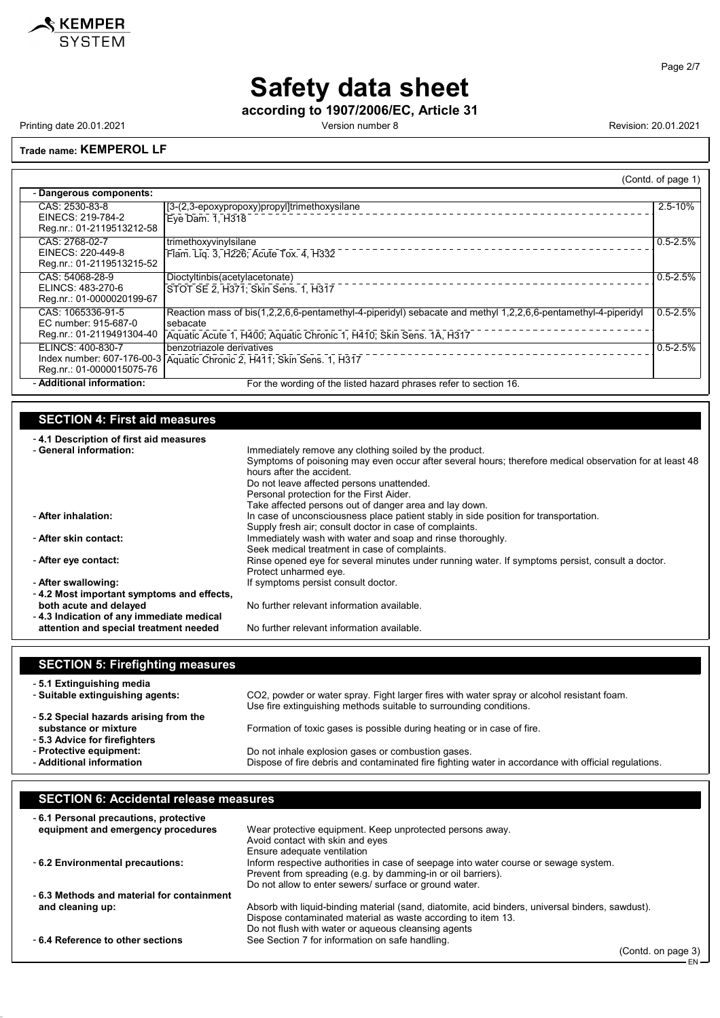

Page 2/7

EN

# **Safety data sheet**

**according to 1907/2006/EC, Article 31**

Printing date 20.01.2021 **Version number 8** Version number 8 Revision: 20.01.2021

#### **Trade name: KEMPEROL LF**

|                                                                        |                                                                                                                                                                                                  | (Contd. of page 1) |
|------------------------------------------------------------------------|--------------------------------------------------------------------------------------------------------------------------------------------------------------------------------------------------|--------------------|
| - Dangerous components:                                                |                                                                                                                                                                                                  |                    |
| CAS: 2530-83-8<br>EINECS: 219-784-2<br>Reg.nr.: 01-2119513212-58       | [3-(2,3-epoxypropoxy)propyl]trimethoxysilane<br>Eye Dam. 1, H318                                                                                                                                 | 2.5-10%            |
| CAS: 2768-02-7<br>EINECS: 220-449-8<br>Reg.nr.: 01-2119513215-52       | trimethoxyvinylsilane<br>Flam. Lig. 3, H226; Acute Tox. 4, H332                                                                                                                                  | $0.5 - 2.5%$       |
| CAS: 54068-28-9<br>ELINCS: 483-270-6<br>Reg.nr.: 01-0000020199-67      | Dioctyltinbis(acetylacetonate)<br>STOT SE 2, H371; Skin Sens. 1, H317                                                                                                                            | $0.5 - 2.5%$       |
| CAS: 1065336-91-5<br>EC number: 915-687-0<br>Reg.nr.: 01-2119491304-40 | Reaction mass of bis(1,2,2,6,6-pentamethyl-4-piperidyl) sebacate and methyl 1,2,2,6,6-pentamethyl-4-piperidyl<br>sebacate<br>Aquatic Acute 1, H400; Aquatic Chronic 1, H410; Skin Sens. 1A, H317 | $0.5 - 2.5%$       |
| ELINCS: 400-830-7<br>Reg.nr.: 01-0000015075-76                         | benzotriazole derivatives<br>Index number: 607-176-00-3 Aquatic Chronic 2, H411; Skin Sens. 1, H317                                                                                              | $0.5 - 2.5%$       |
| - Additional information:                                              | For the wording of the listed hazard phrases refer to section 16.                                                                                                                                |                    |

### **SECTION 4: First aid measures**

| -4.1 Description of first aid measures    |                                                                                                                                     |
|-------------------------------------------|-------------------------------------------------------------------------------------------------------------------------------------|
| - General information:                    | Immediately remove any clothing soiled by the product.                                                                              |
|                                           | Symptoms of poisoning may even occur after several hours; therefore medical observation for at least 48<br>hours after the accident |
|                                           | Do not leave affected persons unattended.                                                                                           |
|                                           | Personal protection for the First Aider.                                                                                            |
|                                           | Take affected persons out of danger area and lay down.                                                                              |
| - After inhalation:                       | In case of unconsciousness place patient stably in side position for transportation.                                                |
|                                           | Supply fresh air; consult doctor in case of complaints.                                                                             |
| - After skin contact:                     | Immediately wash with water and soap and rinse thoroughly.                                                                          |
|                                           | Seek medical treatment in case of complaints.                                                                                       |
| - After eye contact:                      | Rinse opened eye for several minutes under running water. If symptoms persist, consult a doctor.                                    |
|                                           | Protect unharmed eye.                                                                                                               |
| - After swallowing:                       | If symptoms persist consult doctor.                                                                                                 |
| -4.2 Most important symptoms and effects, |                                                                                                                                     |
| both acute and delayed                    | No further relevant information available.                                                                                          |
| -4.3 Indication of any immediate medical  |                                                                                                                                     |
| attention and special treatment needed    | No further relevant information available.                                                                                          |

| <b>SECTION 5: Firefighting measures</b>                                                        |                                                                                                      |
|------------------------------------------------------------------------------------------------|------------------------------------------------------------------------------------------------------|
| -5.1 Extinguishing media                                                                       | CO2, powder or water spray. Fight larger fires with water spray or alcohol resistant foam.           |
| - Suitable extinguishing agents:                                                               | Use fire extinguishing methods suitable to surrounding conditions.                                   |
| -5.2 Special hazards arising from the<br>substance or mixture<br>- 5.3 Advice for firefighters | Formation of toxic gases is possible during heating or in case of fire.                              |
| - Protective equipment:                                                                        | Do not inhale explosion gases or combustion gases.                                                   |
| - Additional information                                                                       | Dispose of fire debris and contaminated fire fighting water in accordance with official regulations. |

#### **SECTION 6: Accidental release measures** - **6.1 Personal precautions, protective equipment and emergency procedures** Wear protective equipment. Keep unprotected persons away. Avoid contact with skin and eyes Ensure adequate ventilation - **6.2 Environmental precautions:** Inform respective authorities in case of seepage into water course or sewage system. Prevent from spreading (e.g. by damming-in or oil barriers). Do not allow to enter sewers/ surface or ground water. - **6.3 Methods and material for containment** Absorb with liquid-binding material (sand, diatomite, acid binders, universal binders, sawdust). Dispose contaminated material as waste according to item 13. Do not flush with water or aqueous cleansing agents - **6.4 Reference to other sections** See Section 7 for information on safe handling. (Contd. on page 3)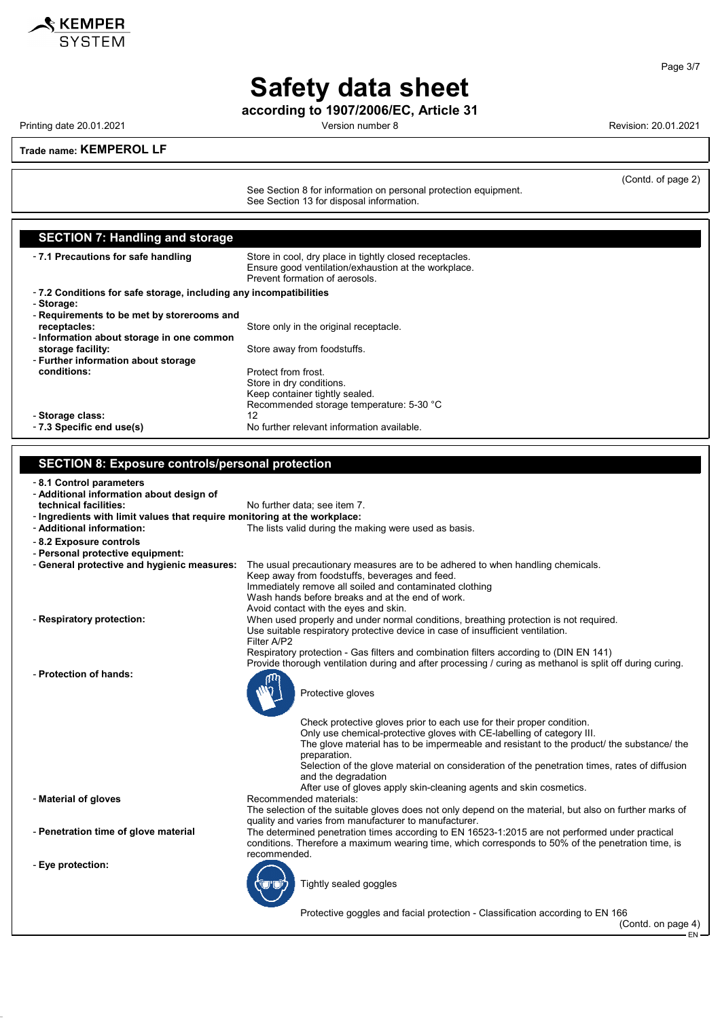

**according to 1907/2006/EC, Article 31**

Printing date 20.01.2021 **Version number 8 Revision: 20.01.2021** Revision: 20.01.2021

(Contd. of page 2)

**Trade name: KEMPEROL LF**

See Section 8 for information on personal protection equipment. See Section 13 for disposal information.

**SECTION 7: Handling and storage** - **7.1 Precautions for safe handling** Store in cool, dry place in tightly closed receptacles. Ensure good ventilation/exhaustion at the workplace. Prevent formation of aerosols. - **7.2 Conditions for safe storage, including any incompatibilities** - **Storage:** - **Requirements to be met by storerooms and** Store only in the original receptacle. - **Information about storage in one common storage facility:** The storage facility: - **Further information about storage conditions:** Protect from frost. Store in dry conditions. Keep container tightly sealed. Recommended storage temperature: 5-30 °C - **Storage class:** 12 - **7.3 Specific end use(s)** No further relevant information available.

#### **SECTION 8: Exposure controls/personal protection**

- **8.1 Control parameters**

- **Additional information about design of**
- No further data; see item 7.
- **Ingredients with limit values that require monitoring at the workplace:** - **Additional information:** The lists valid during the making were used as basis.
- **8.2 Exposure controls**
- **Personal protective equipment:**
- **General protective and hygienic measures:** The usual precautionary measures are to be adhered to when handling chemicals.
	-
- 
- **Protection of hands:**

- **Eye protection:**

Keep away from foodstuffs, beverages and feed. Immediately remove all soiled and contaminated clothing Wash hands before breaks and at the end of work. Avoid contact with the eyes and skin. - **Respiratory protection:** When used properly and under normal conditions, breathing protection is not required. Use suitable respiratory protective device in case of insufficient ventilation. Filter A/P2 Respiratory protection - Gas filters and combination filters according to (DIN EN 141) Provide thorough ventilation during and after processing / curing as methanol is split off during curing. Protective gloves Check protective gloves prior to each use for their proper condition. Only use chemical-protective gloves with CE-labelling of category III. The glove material has to be impermeable and resistant to the product/ the substance/ the preparation. Selection of the glove material on consideration of the penetration times, rates of diffusion and the degradation After use of gloves apply skin-cleaning agents and skin cosmetics. - **Material of gloves** Recommended materials:

The selection of the suitable gloves does not only depend on the material, but also on further marks of quality and varies from manufacturer to manufacturer.

- **Penetration time of glove material** The determined penetration times according to EN 16523-1:2015 are not performed under practical conditions. Therefore a maximum wearing time, which corresponds to 50% of the penetration time, is recommended.

Tightly sealed goggles

Protective goggles and facial protection - Classification according to EN 166

(Contd. on page 4)

EN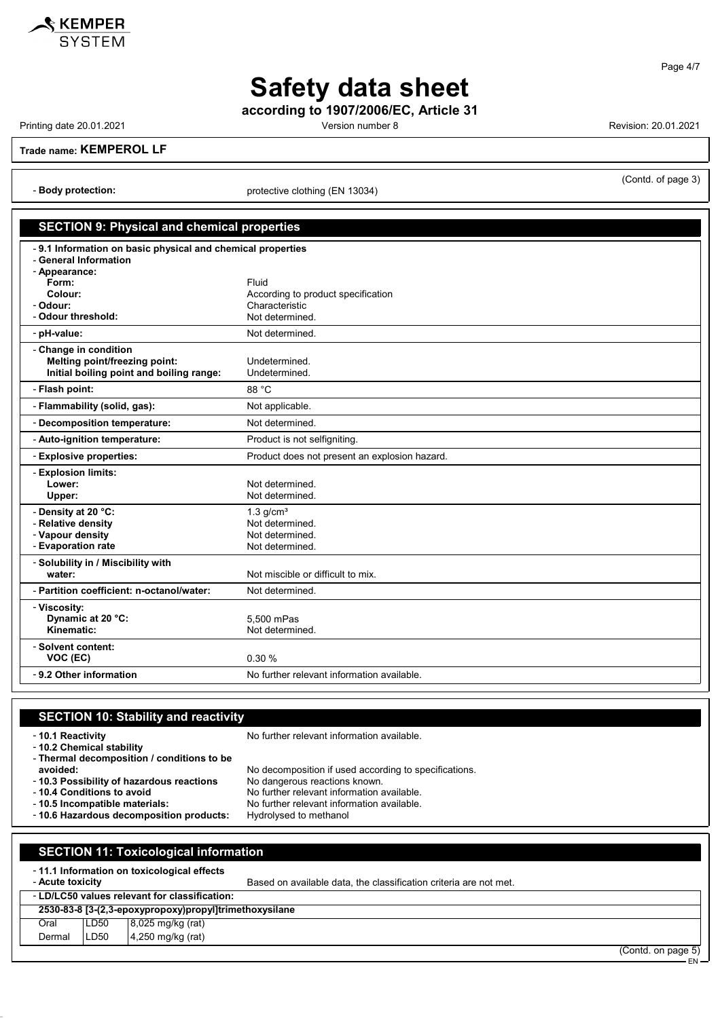

Page 4/7

# **Safety data sheet**

**according to 1907/2006/EC, Article 31**

Printing date 20.01.2021 **Version number 8** Version number 8 Revision: 20.01.2021

**Trade name: KEMPEROL LF**

- **Body protection:** protective clothing (EN 13034)

### (Contd. of page 3)

### **SECTION 9: Physical and chemical properties**

| -9.1 Information on basic physical and chemical properties<br>- General Information |                                               |  |
|-------------------------------------------------------------------------------------|-----------------------------------------------|--|
|                                                                                     |                                               |  |
| - Appearance:<br>Form:                                                              | Fluid                                         |  |
| Colour:                                                                             | According to product specification            |  |
| - Odour:                                                                            | Characteristic                                |  |
| - Odour threshold:                                                                  | Not determined.                               |  |
|                                                                                     |                                               |  |
| - pH-value:                                                                         | Not determined.                               |  |
| - Change in condition                                                               |                                               |  |
| Melting point/freezing point:                                                       | Undetermined.                                 |  |
| Initial boiling point and boiling range:                                            | Undetermined.                                 |  |
| - Flash point:                                                                      | 88 °C                                         |  |
| - Flammability (solid, gas):                                                        | Not applicable.                               |  |
| - Decomposition temperature:                                                        | Not determined.                               |  |
| - Auto-ignition temperature:                                                        | Product is not selfigniting.                  |  |
| - Explosive properties:                                                             | Product does not present an explosion hazard. |  |
| - Explosion limits:                                                                 |                                               |  |
| Lower:                                                                              | Not determined.                               |  |
| Upper:                                                                              | Not determined.                               |  |
| - Density at 20 °C:                                                                 | $1.3$ g/cm <sup>3</sup>                       |  |
| - Relative density                                                                  | Not determined.                               |  |
| - Vapour density                                                                    | Not determined.                               |  |
| - Evaporation rate                                                                  | Not determined.                               |  |
| - Solubility in / Miscibility with                                                  |                                               |  |
| water:                                                                              | Not miscible or difficult to mix.             |  |
| - Partition coefficient: n-octanol/water:                                           | Not determined.                               |  |
| - Viscosity:                                                                        |                                               |  |
| Dynamic at 20 °C:                                                                   | 5,500 mPas                                    |  |
| Kinematic:                                                                          | Not determined.                               |  |
| - Solvent content:                                                                  |                                               |  |
| VOC (EC)                                                                            | 0.30%                                         |  |
| - 9.2 Other information                                                             | No further relevant information available.    |  |
|                                                                                     |                                               |  |

## **SECTION 10: Stability and reactivity** - **10.1 Reactivity 10.1 Reactivity 10.1 Reactivity 10.1 Reactivity 10.1** Reactivity - **10.2 Chemical stability**

- **Thermal decomposition / conditions to be avoided:** No decomposition if used according to specifications.<br>10.3 Possibility of hazardous reactions No dangerous reactions known. - 10.3 Possibility of hazardous reactions<br>- 10.4 Conditions to avoid

- 10.6 Hazardous decomposition products:

- 
- 
- **10.4 Conditions to avoid**<br> **10.5 Incompatible materials:** No further relevant information available.<br>
No further relevant information available.
	- No further relevant information available.<br>Hydrolysed to methanol

|        | <b>SECTION 11: Toxicological information</b>                                                                                        |                                      |  |
|--------|-------------------------------------------------------------------------------------------------------------------------------------|--------------------------------------|--|
|        | -11.1 Information on toxicological effects<br>Based on available data, the classification criteria are not met.<br>- Acute toxicity |                                      |  |
|        | - LD/LC50 values relevant for classification:                                                                                       |                                      |  |
|        | 2530-83-8 [3-(2,3-epoxypropoxy)propyl]trimethoxysilane                                                                              |                                      |  |
| Oral   | LD50                                                                                                                                | 8,025 mg/kg (rat)                    |  |
| Dermal | LD50                                                                                                                                | 4,250 mg/kg (rat)<br>(Contdonnone E) |  |

(Contd. on page 5) EN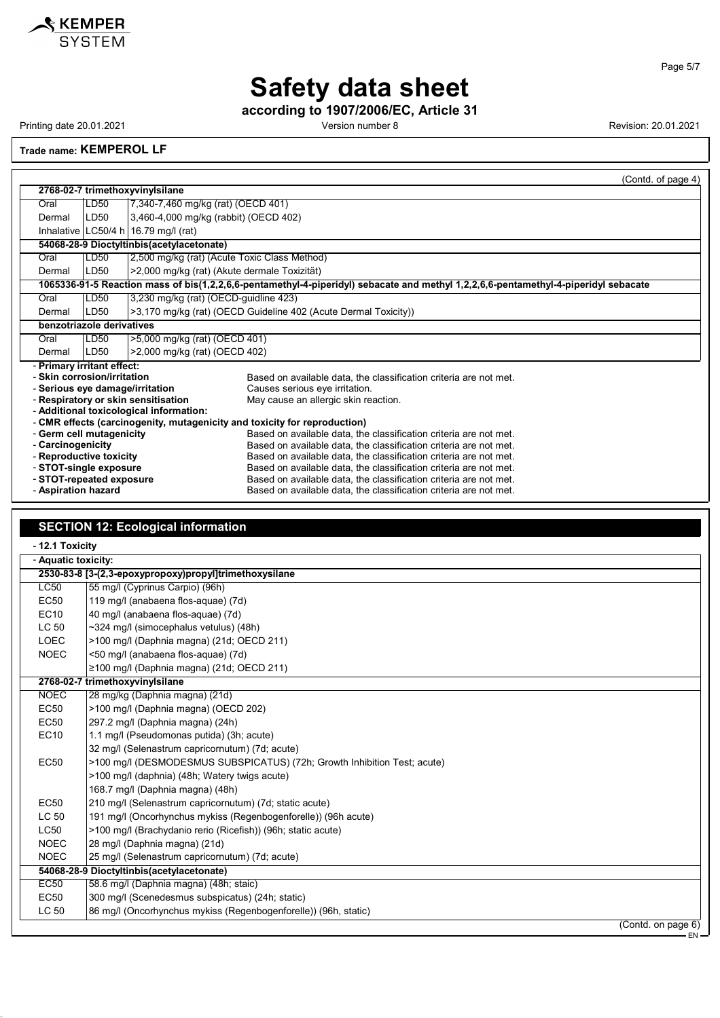

**according to 1907/2006/EC, Article 31**

Printing date 20.01.2021 **Printing date 20.01.2021** Version number 8 Revision: 20.01.2021

**Trade name: KEMPEROL LF**

|                                                                                                                         |                                           |                                              | (Contd. of page 4)                                                                                                                     |  |  |
|-------------------------------------------------------------------------------------------------------------------------|-------------------------------------------|----------------------------------------------|----------------------------------------------------------------------------------------------------------------------------------------|--|--|
|                                                                                                                         | 2768-02-7 trimethoxyvinylsilane           |                                              |                                                                                                                                        |  |  |
| Oral                                                                                                                    | LD50                                      | 7,340-7,460 mg/kg (rat) (OECD 401)           |                                                                                                                                        |  |  |
| Dermal                                                                                                                  | LD50                                      | 3,460-4,000 mg/kg (rabbit) (OECD 402)        |                                                                                                                                        |  |  |
|                                                                                                                         |                                           | Inhalative LC50/4 h 16.79 mg/l (rat)         |                                                                                                                                        |  |  |
|                                                                                                                         |                                           | 54068-28-9 Dioctyltinbis(acetylacetonate)    |                                                                                                                                        |  |  |
| Oral                                                                                                                    | LD50                                      | 2,500 mg/kg (rat) (Acute Toxic Class Method) |                                                                                                                                        |  |  |
| Dermal                                                                                                                  | LD50                                      | >2,000 mg/kg (rat) (Akute dermale Toxizität) |                                                                                                                                        |  |  |
|                                                                                                                         |                                           |                                              | 1065336-91-5 Reaction mass of bis(1,2,2,6,6-pentamethyl-4-piperidyl) sebacate and methyl 1,2,2,6,6-pentamethyl-4-piperidyl sebacate    |  |  |
| Oral                                                                                                                    | LD50                                      | 3,230 mg/kg (rat) (OECD-guidline 423)        |                                                                                                                                        |  |  |
| Dermal                                                                                                                  | LD50                                      |                                              | >3,170 mg/kg (rat) (OECD Guideline 402 (Acute Dermal Toxicity))                                                                        |  |  |
|                                                                                                                         | benzotriazole derivatives                 |                                              |                                                                                                                                        |  |  |
| Oral                                                                                                                    | LD50<br>>5,000 mg/kg (rat) (OECD 401)     |                                              |                                                                                                                                        |  |  |
| Dermal                                                                                                                  | LD50<br>>2,000 mg/kg (rat) (OECD 402)     |                                              |                                                                                                                                        |  |  |
| - Primary irritant effect:                                                                                              |                                           |                                              |                                                                                                                                        |  |  |
| - Skin corrosion/irritation                                                                                             |                                           |                                              | Based on available data, the classification criteria are not met.                                                                      |  |  |
| - Serious eye damage/irritation                                                                                         |                                           |                                              | Causes serious eye irritation.                                                                                                         |  |  |
| - Respiratory or skin sensitisation<br>May cause an allergic skin reaction.                                             |                                           |                                              |                                                                                                                                        |  |  |
|                                                                                                                         |                                           | - Additional toxicological information:      |                                                                                                                                        |  |  |
|                                                                                                                         |                                           |                                              | - CMR effects (carcinogenity, mutagenicity and toxicity for reproduction)                                                              |  |  |
| - Germ cell mutagenicity                                                                                                |                                           |                                              | Based on available data, the classification criteria are not met.                                                                      |  |  |
| - Carcinogenicity                                                                                                       |                                           |                                              | Based on available data, the classification criteria are not met.                                                                      |  |  |
| - Reproductive toxicity                                                                                                 |                                           |                                              | Based on available data, the classification criteria are not met.<br>Based on available data, the classification criteria are not met. |  |  |
| - STOT-single exposure<br>- STOT-repeated exposure<br>Based on available data, the classification criteria are not met. |                                           |                                              |                                                                                                                                        |  |  |
| - Aspiration hazard                                                                                                     |                                           |                                              | Based on available data, the classification criteria are not met.                                                                      |  |  |
|                                                                                                                         |                                           |                                              |                                                                                                                                        |  |  |
|                                                                                                                         |                                           |                                              |                                                                                                                                        |  |  |
|                                                                                                                         | <b>SECTION 12: Ecological information</b> |                                              |                                                                                                                                        |  |  |
|                                                                                                                         |                                           |                                              |                                                                                                                                        |  |  |

| - 12.1 Toxicity     |                                                                          |  |  |
|---------------------|--------------------------------------------------------------------------|--|--|
| - Aquatic toxicity: |                                                                          |  |  |
|                     | 2530-83-8 [3-(2,3-epoxypropoxy)propyl]trimethoxysilane                   |  |  |
| LC50                | 55 mg/l (Cyprinus Carpio) (96h)                                          |  |  |
| <b>EC50</b>         | 119 mg/l (anabaena flos-aquae) (7d)                                      |  |  |
| <b>EC10</b>         | 40 mg/l (anabaena flos-aquae) (7d)                                       |  |  |
| LC 50               | $\sim$ 324 mg/l (simocephalus vetulus) (48h)                             |  |  |
| <b>LOEC</b>         | >100 mg/l (Daphnia magna) (21d; OECD 211)                                |  |  |
| <b>NOEC</b>         | <50 mg/l (anabaena flos-aquae) (7d)                                      |  |  |
|                     | $\geq$ 100 mg/l (Daphnia magna) (21d; OECD 211)                          |  |  |
|                     | 2768-02-7 trimethoxyvinylsilane                                          |  |  |
| <b>NOEC</b>         | 28 mg/kg (Daphnia magna) (21d)                                           |  |  |
| <b>EC50</b>         | >100 mg/l (Daphnia magna) (OECD 202)                                     |  |  |
| <b>EC50</b>         | 297.2 mg/l (Daphnia magna) (24h)                                         |  |  |
| <b>EC10</b>         | 1.1 mg/l (Pseudomonas putida) (3h; acute)                                |  |  |
|                     | 32 mg/l (Selenastrum capricornutum) (7d; acute)                          |  |  |
| <b>EC50</b>         | >100 mg/l (DESMODESMUS SUBSPICATUS) (72h; Growth Inhibition Test; acute) |  |  |
|                     | >100 mg/l (daphnia) (48h; Watery twigs acute)                            |  |  |
|                     | 168.7 mg/l (Daphnia magna) (48h)                                         |  |  |
| <b>EC50</b>         | 210 mg/l (Selenastrum capricornutum) (7d; static acute)                  |  |  |
| LC 50               | 191 mg/l (Oncorhynchus mykiss (Regenbogenforelle)) (96h acute)           |  |  |
| LC50                | >100 mg/l (Brachydanio rerio (Ricefish)) (96h; static acute)             |  |  |
| <b>NOEC</b>         | 28 mg/l (Daphnia magna) (21d)                                            |  |  |
| <b>NOEC</b>         | 25 mg/l (Selenastrum capricornutum) (7d; acute)                          |  |  |
|                     | 54068-28-9 Dioctyltinbis(acetylacetonate)                                |  |  |
| <b>EC50</b>         | 58.6 mg/l (Daphnia magna) (48h; staic)                                   |  |  |
| <b>EC50</b>         | 300 mg/l (Scenedesmus subspicatus) (24h; static)                         |  |  |
| LC 50               | 86 mg/l (Oncorhynchus mykiss (Regenbogenforelle)) (96h, static)          |  |  |
|                     | (Contd. on page 6)                                                       |  |  |
|                     | EN-                                                                      |  |  |

Page 5/7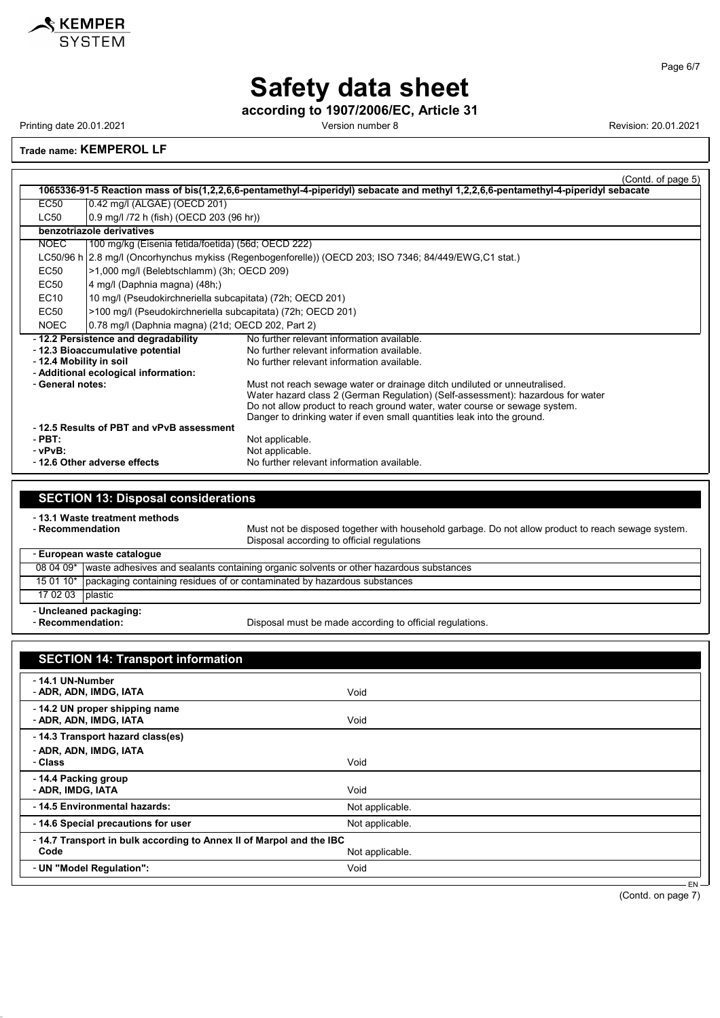

**according to 1907/2006/EC, Article 31**

Printing date 20.01.2021 **Version number 8** Version number 8 Revision: 20.01.2021

#### **Trade name: KEMPEROL LF**

|                             |                                                                                                                                     | (Contd. o <u>f page 5)</u>                                                                             |  |  |  |
|-----------------------------|-------------------------------------------------------------------------------------------------------------------------------------|--------------------------------------------------------------------------------------------------------|--|--|--|
|                             | 1065336-91-5 Reaction mass of bis(1,2,2,6,6-pentamethyl-4-piperidyl) sebacate and methyl 1,2,2,6,6-pentamethyl-4-piperidyl sebacate |                                                                                                        |  |  |  |
| <b>EC50</b>                 | 0.42 mg/l (ALGAE) (OECD 201)                                                                                                        |                                                                                                        |  |  |  |
| <b>LC50</b>                 | 0.9 mg/l /72 h (fish) (OECD 203 (96 hr))                                                                                            |                                                                                                        |  |  |  |
|                             | benzotriazole derivatives                                                                                                           |                                                                                                        |  |  |  |
| <b>NOEC</b>                 | 100 mg/kg (Eisenia fetida/foetida) (56d; OECD 222)                                                                                  |                                                                                                        |  |  |  |
|                             |                                                                                                                                     | LC50/96 h 2.8 mg/l (Oncorhynchus mykiss (Regenbogenforelle)) (OECD 203; ISO 7346; 84/449/EWG,C1 stat.) |  |  |  |
| EC50                        | >1,000 mg/l (Belebtschlamm) (3h; OECD 209)                                                                                          |                                                                                                        |  |  |  |
| EC50                        | 4 mg/l (Daphnia magna) (48h;)                                                                                                       |                                                                                                        |  |  |  |
| EC10                        | 10 mg/l (Pseudokirchneriella subcapitata) (72h; OECD 201)                                                                           |                                                                                                        |  |  |  |
| EC50                        | >100 mg/l (Pseudokirchneriella subcapitata) (72h; OECD 201)                                                                         |                                                                                                        |  |  |  |
| <b>NOEC</b>                 | 0.78 mg/l (Daphnia magna) (21d; OECD 202, Part 2)                                                                                   |                                                                                                        |  |  |  |
|                             | -12.2 Persistence and degradability                                                                                                 | No further relevant information available.                                                             |  |  |  |
|                             | - 12.3 Bioaccumulative potential                                                                                                    | No further relevant information available.                                                             |  |  |  |
| - 12.4 Mobility in soil     |                                                                                                                                     | No further relevant information available                                                              |  |  |  |
|                             | - Additional ecological information:                                                                                                |                                                                                                        |  |  |  |
| - General notes:            |                                                                                                                                     | Must not reach sewage water or drainage ditch undiluted or unneutralised.                              |  |  |  |
|                             |                                                                                                                                     | Water hazard class 2 (German Regulation) (Self-assessment): hazardous for water                        |  |  |  |
|                             |                                                                                                                                     | Do not allow product to reach ground water, water course or sewage system.                             |  |  |  |
|                             |                                                                                                                                     | Danger to drinking water if even small quantities leak into the ground.                                |  |  |  |
|                             | -12.5 Results of PBT and vPvB assessment                                                                                            |                                                                                                        |  |  |  |
| $-$ PBT:                    |                                                                                                                                     | Not applicable.                                                                                        |  |  |  |
| - vPvB:                     |                                                                                                                                     | Not applicable.                                                                                        |  |  |  |
| -12.6 Other adverse effects |                                                                                                                                     | No further relevant information available.                                                             |  |  |  |

### **SECTION 13: Disposal considerations**

- **13.1 Waste treatment methods**

Must not be disposed together with household garbage. Do not allow product to reach sewage system. Disposal according to official regulations

#### $\Gamma$ - **European waste catalogue**

| Lui opean waste catalogue |                                                                                                    |  |  |  |
|---------------------------|----------------------------------------------------------------------------------------------------|--|--|--|
|                           | 08 04 09*   waste adhesives and sealants containing organic solvents or other hazardous substances |  |  |  |
|                           | 15 01 10*   packaging containing residues of or contaminated by hazardous substances               |  |  |  |
|                           | 17 02 03   plastic                                                                                 |  |  |  |
| - Uncleaned packaging:    |                                                                                                    |  |  |  |

- Recommendation:

Disposal must be made according to official regulations.

| <b>SECTION 14: Transport information</b>                            |                 |  |
|---------------------------------------------------------------------|-----------------|--|
| - 14.1 UN-Number<br>- ADR, ADN, IMDG, IATA                          | Void            |  |
| - 14.2 UN proper shipping name<br>- ADR, ADN, IMDG, IATA            | Void            |  |
| - 14.3 Transport hazard class(es)                                   |                 |  |
| - ADR, ADN, IMDG, IATA<br>- Class                                   | Void            |  |
| -14.4 Packing group<br>- ADR, IMDG, IATA                            | Void            |  |
| - 14.5 Environmental hazards:                                       | Not applicable. |  |
| - 14.6 Special precautions for user                                 | Not applicable. |  |
| -14.7 Transport in bulk according to Annex II of Marpol and the IBC |                 |  |
| Code                                                                | Not applicable. |  |
| - UN "Model Regulation":                                            | Void            |  |

(Contd. on page 7)